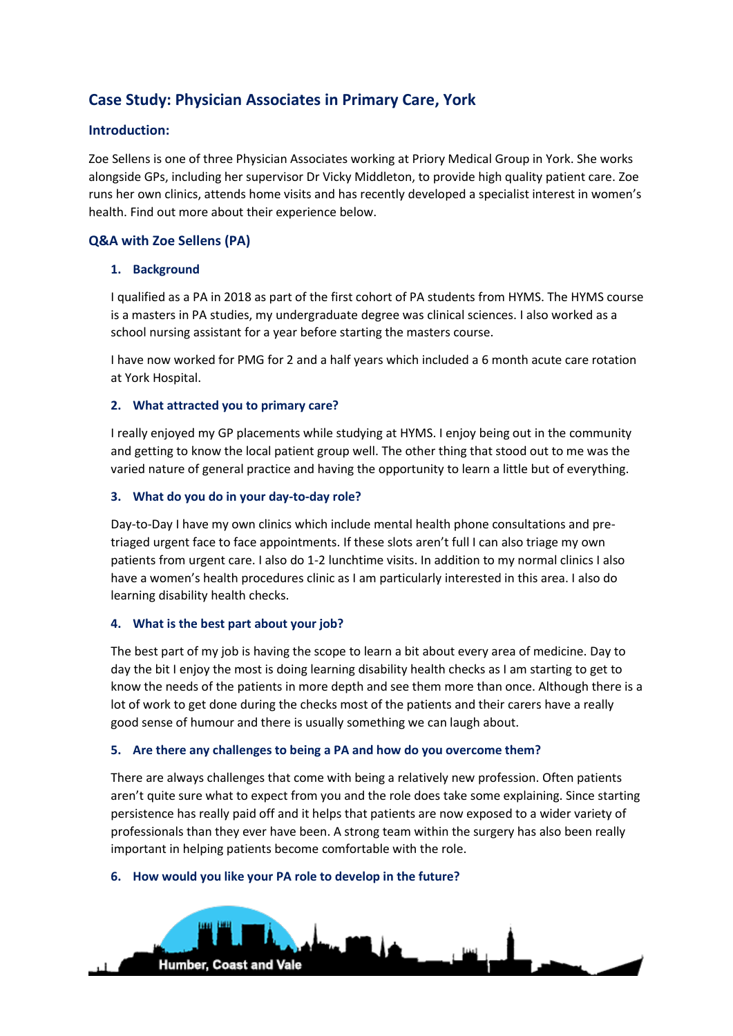# **Case Study: Physician Associates in Primary Care, York**

# **Introduction:**

Zoe Sellens is one of three Physician Associates working at Priory Medical Group in York. She works alongside GPs, including her supervisor Dr Vicky Middleton, to provide high quality patient care. Zoe runs her own clinics, attends home visits and has recently developed a specialist interest in women's health. Find out more about their experience below.

# **Q&A with Zoe Sellens (PA)**

## **1. Background**

I qualified as a PA in 2018 as part of the first cohort of PA students from HYMS. The HYMS course is a masters in PA studies, my undergraduate degree was clinical sciences. I also worked as a school nursing assistant for a year before starting the masters course.

I have now worked for PMG for 2 and a half years which included a 6 month acute care rotation at York Hospital.

## **2. What attracted you to primary care?**

I really enjoyed my GP placements while studying at HYMS. I enjoy being out in the community and getting to know the local patient group well. The other thing that stood out to me was the varied nature of general practice and having the opportunity to learn a little but of everything.

## **3. What do you do in your day-to-day role?**

Day-to-Day I have my own clinics which include mental health phone consultations and pretriaged urgent face to face appointments. If these slots aren't full I can also triage my own patients from urgent care. I also do 1-2 lunchtime visits. In addition to my normal clinics I also have a women's health procedures clinic as I am particularly interested in this area. I also do learning disability health checks.

## **4. What is the best part about your job?**

The best part of my job is having the scope to learn a bit about every area of medicine. Day to day the bit I enjoy the most is doing learning disability health checks as I am starting to get to know the needs of the patients in more depth and see them more than once. Although there is a lot of work to get done during the checks most of the patients and their carers have a really good sense of humour and there is usually something we can laugh about.

## **5. Are there any challenges to being a PA and how do you overcome them?**

There are always challenges that come with being a relatively new profession. Often patients aren't quite sure what to expect from you and the role does take some explaining. Since starting persistence has really paid off and it helps that patients are now exposed to a wider variety of professionals than they ever have been. A strong team within the surgery has also been really important in helping patients become comfortable with the role.

## **6. How would you like your PA role to develop in the future?**